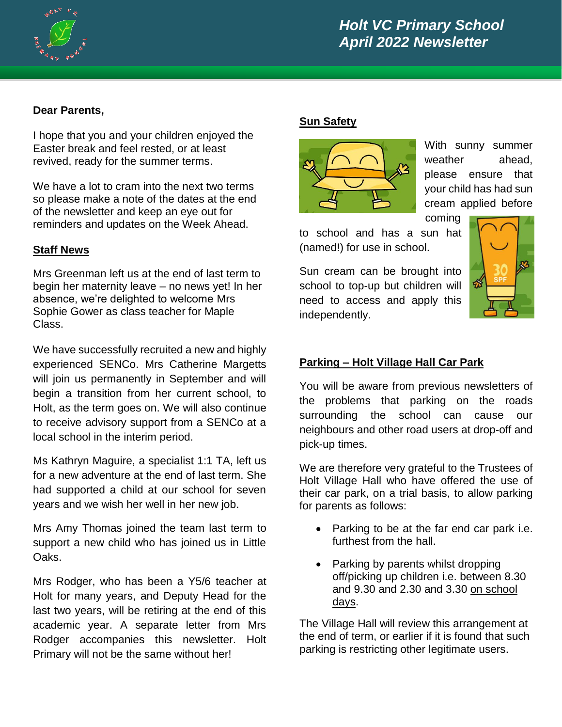

# *Holt VC Primary School April 2022 Newsletter*

## **Dear Parents,**

I hope that you and your children enjoyed the Easter break and feel rested, or at least revived, ready for the summer terms.

We have a lot to cram into the next two terms so please make a note of the dates at the end of the newsletter and keep an eye out for reminders and updates on the Week Ahead.

### **Staff News**

Mrs Greenman left us at the end of last term to begin her maternity leave – no news yet! In her absence, we're delighted to welcome Mrs Sophie Gower as class teacher for Maple Class.

We have successfully recruited a new and highly experienced SENCo. Mrs Catherine Margetts will join us permanently in September and will begin a transition from her current school, to Holt, as the term goes on. We will also continue to receive advisory support from a SENCo at a local school in the interim period.

Ms Kathryn Maguire, a specialist 1:1 TA, left us for a new adventure at the end of last term. She had supported a child at our school for seven years and we wish her well in her new job.

Mrs Amy Thomas joined the team last term to support a new child who has joined us in Little Oaks.

Mrs Rodger, who has been a Y5/6 teacher at Holt for many years, and Deputy Head for the last two years, will be retiring at the end of this academic year. A separate letter from Mrs Rodger accompanies this newsletter. Holt Primary will not be the same without her!

### **Sun Safety**



With sunny summer weather ahead, please ensure that your child has had sun cream applied before

to school and has a sun hat (named!) for use in school.

Sun cream can be brought into school to top-up but children will need to access and apply this independently.



### **Parking – Holt Village Hall Car Park**

You will be aware from previous newsletters of the problems that parking on the roads surrounding the school can cause our neighbours and other road users at drop-off and pick-up times.

We are therefore very grateful to the Trustees of Holt Village Hall who have offered the use of their car park, on a trial basis, to allow parking for parents as follows:

- Parking to be at the far end car park i.e. furthest from the hall.
- Parking by parents whilst dropping off/picking up children i.e. between 8.30 and 9.30 and 2.30 and 3.30 on school days.

The Village Hall will review this arrangement at the end of term, or earlier if it is found that such parking is restricting other legitimate users.